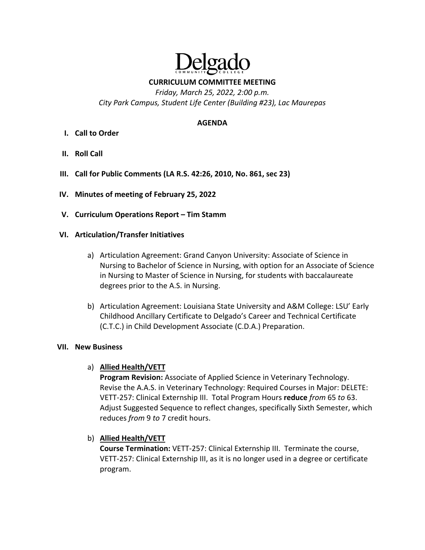

**CURRICULUM COMMITTEE MEETING**

*Friday, March 25, 2022, 2:00 p.m. City Park Campus, Student Life Center (Building #23), Lac Maurepas* 

### **AGENDA**

- **I. Call to Order**
- **II. Roll Call**
- **III. Call for Public Comments (LA R.S. 42:26, 2010, No. 861, sec 23)**
- **IV. Minutes of meeting of February 25, 2022**
- **V. Curriculum Operations Report – Tim Stamm**

## **VI. Articulation/Transfer Initiatives**

- a) Articulation Agreement: Grand Canyon University: Associate of Science in Nursing to Bachelor of Science in Nursing, with option for an Associate of Science in Nursing to Master of Science in Nursing, for students with baccalaureate degrees prior to the A.S. in Nursing.
- b) Articulation Agreement: Louisiana State University and A&M College: LSU' Early Childhood Ancillary Certificate to Delgado's Career and Technical Certificate (C.T.C.) in Child Development Associate (C.D.A.) Preparation.

### **VII. New Business**

a) **Allied Health/VETT**

**Program Revision:** Associate of Applied Science in Veterinary Technology. Revise the A.A.S. in Veterinary Technology: Required Courses in Major: DELETE: VETT‐257: Clinical Externship III. Total Program Hours **reduce** *from* 65 *to* 63. Adjust Suggested Sequence to reflect changes, specifically Sixth Semester, which reduces *from* 9 *to* 7 credit hours.

b) **Allied Health/VETT**

**Course Termination:** VETT‐257: Clinical Externship III. Terminate the course, VETT‐257: Clinical Externship III, as it is no longer used in a degree or certificate program.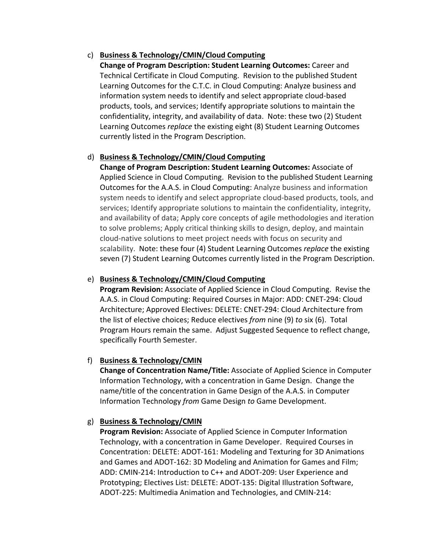# c) **Business & Technology/CMIN/Cloud Computing**

**Change of Program Description: Student Learning Outcomes:** Career and Technical Certificate in Cloud Computing. Revision to the published Student Learning Outcomes for the C.T.C. in Cloud Computing: Analyze business and information system needs to identify and select appropriate cloud‐based products, tools, and services; Identify appropriate solutions to maintain the confidentiality, integrity, and availability of data. Note: these two (2) Student Learning Outcomes *replace* the existing eight (8) Student Learning Outcomes currently listed in the Program Description.

# d) **Business & Technology/CMIN/Cloud Computing**

**Change of Program Description: Student Learning Outcomes:** Associate of Applied Science in Cloud Computing. Revision to the published Student Learning Outcomes for the A.A.S. in Cloud Computing: Analyze business and information system needs to identify and select appropriate cloud‐based products, tools, and services; Identify appropriate solutions to maintain the confidentiality, integrity, and availability of data; Apply core concepts of agile methodologies and iteration to solve problems; Apply critical thinking skills to design, deploy, and maintain cloud‐native solutions to meet project needs with focus on security and scalability. Note: these four (4) Student Learning Outcomes *replace* the existing seven (7) Student Learning Outcomes currently listed in the Program Description.

## e) **Business & Technology/CMIN/Cloud Computing**

**Program Revision:** Associate of Applied Science in Cloud Computing. Revise the A.A.S. in Cloud Computing: Required Courses in Major: ADD: CNET‐294: Cloud Architecture; Approved Electives: DELETE: CNET‐294: Cloud Architecture from the list of elective choices; Reduce electives *from* nine (9) *to* six (6). Total Program Hours remain the same. Adjust Suggested Sequence to reflect change, specifically Fourth Semester.

# f) **Business & Technology/CMIN**

**Change of Concentration Name/Title:** Associate of Applied Science in Computer Information Technology, with a concentration in Game Design. Change the name/title of the concentration in Game Design of the A.A.S. in Computer Information Technology *from* Game Design *to* Game Development.

# g) **Business & Technology/CMIN**

**Program Revision:** Associate of Applied Science in Computer Information Technology, with a concentration in Game Developer. Required Courses in Concentration: DELETE: ADOT‐161: Modeling and Texturing for 3D Animations and Games and ADOT‐162: 3D Modeling and Animation for Games and Film; ADD: CMIN‐214: Introduction to C++ and ADOT‐209: User Experience and Prototyping; Electives List: DELETE: ADOT‐135: Digital Illustration Software, ADOT‐225: Multimedia Animation and Technologies, and CMIN‐214: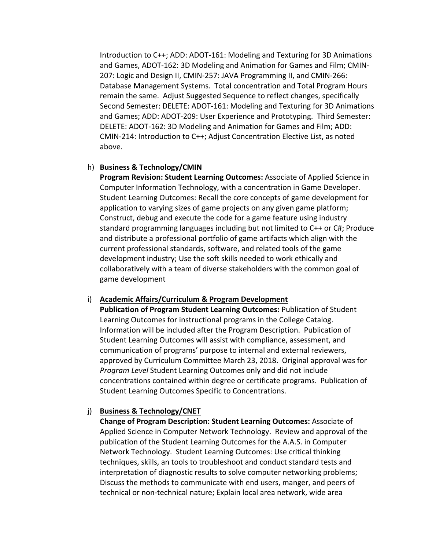Introduction to C++; ADD: ADOT‐161: Modeling and Texturing for 3D Animations and Games, ADOT‐162: 3D Modeling and Animation for Games and Film; CMIN‐ 207: Logic and Design II, CMIN‐257: JAVA Programming II, and CMIN‐266: Database Management Systems. Total concentration and Total Program Hours remain the same. Adjust Suggested Sequence to reflect changes, specifically Second Semester: DELETE: ADOT‐161: Modeling and Texturing for 3D Animations and Games; ADD: ADOT‐209: User Experience and Prototyping. Third Semester: DELETE: ADOT‐162: 3D Modeling and Animation for Games and Film; ADD: CMIN‐214: Introduction to C++; Adjust Concentration Elective List, as noted above.

### h) **Business & Technology/CMIN**

**Program Revision: Student Learning Outcomes:** Associate of Applied Science in Computer Information Technology, with a concentration in Game Developer. Student Learning Outcomes: Recall the core concepts of game development for application to varying sizes of game projects on any given game platform; Construct, debug and execute the code for a game feature using industry standard programming languages including but not limited to C++ or C#; Produce and distribute a professional portfolio of game artifacts which align with the current professional standards, software, and related tools of the game development industry; Use the soft skills needed to work ethically and collaboratively with a team of diverse stakeholders with the common goal of game development

### i) **Academic Affairs/Curriculum & Program Development**

**Publication of Program Student Learning Outcomes:** Publication of Student Learning Outcomes for instructional programs in the College Catalog. Information will be included after the Program Description. Publication of Student Learning Outcomes will assist with compliance, assessment, and communication of programs' purpose to internal and external reviewers, approved by Curriculum Committee March 23, 2018. Original approval was for *Program Level* Student Learning Outcomes only and did not include concentrations contained within degree or certificate programs. Publication of Student Learning Outcomes Specific to Concentrations.

# j) **Business & Technology/CNET**

**Change of Program Description: Student Learning Outcomes:** Associate of Applied Science in Computer Network Technology. Review and approval of the publication of the Student Learning Outcomes for the A.A.S. in Computer Network Technology. Student Learning Outcomes: Use critical thinking techniques, skills, an tools to troubleshoot and conduct standard tests and interpretation of diagnostic results to solve computer networking problems; Discuss the methods to communicate with end users, manger, and peers of technical or non‐technical nature; Explain local area network, wide area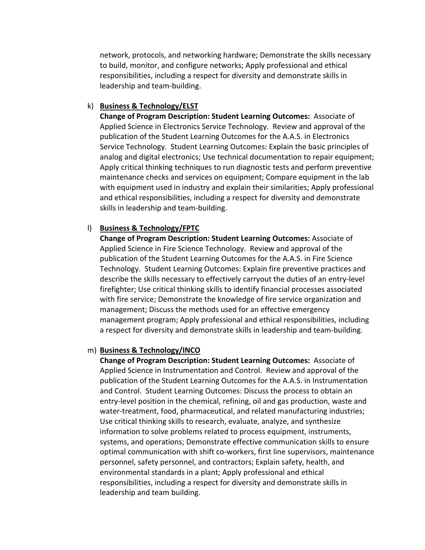network, protocols, and networking hardware; Demonstrate the skills necessary to build, monitor, and configure networks; Apply professional and ethical responsibilities, including a respect for diversity and demonstrate skills in leadership and team‐building.

#### k) **Business & Technology/ELST**

**Change of Program Description: Student Learning Outcomes:** Associate of Applied Science in Electronics Service Technology. Review and approval of the publication of the Student Learning Outcomes for the A.A.S. in Electronics Service Technology. Student Learning Outcomes: Explain the basic principles of analog and digital electronics; Use technical documentation to repair equipment; Apply critical thinking techniques to run diagnostic tests and perform preventive maintenance checks and services on equipment; Compare equipment in the lab with equipment used in industry and explain their similarities; Apply professional and ethical responsibilities, including a respect for diversity and demonstrate skills in leadership and team‐building.

### l) **Business & Technology/FPTC**

**Change of Program Description: Student Learning Outcomes:** Associate of Applied Science in Fire Science Technology. Review and approval of the publication of the Student Learning Outcomes for the A.A.S. in Fire Science Technology. Student Learning Outcomes: Explain fire preventive practices and describe the skills necessary to effectively carryout the duties of an entry‐level firefighter; Use critical thinking skills to identify financial processes associated with fire service; Demonstrate the knowledge of fire service organization and management; Discuss the methods used for an effective emergency management program; Apply professional and ethical responsibilities, including a respect for diversity and demonstrate skills in leadership and team‐building.

### m) **Business & Technology/INCO**

**Change of Program Description: Student Learning Outcomes:** Associate of Applied Science in Instrumentation and Control. Review and approval of the publication of the Student Learning Outcomes for the A.A.S. in Instrumentation and Control. Student Learning Outcomes: Discuss the process to obtain an entry‐level position in the chemical, refining, oil and gas production, waste and water-treatment, food, pharmaceutical, and related manufacturing industries; Use critical thinking skills to research, evaluate, analyze, and synthesize information to solve problems related to process equipment, instruments, systems, and operations; Demonstrate effective communication skills to ensure optimal communication with shift co‐workers, first line supervisors, maintenance personnel, safety personnel, and contractors; Explain safety, health, and environmental standards in a plant; Apply professional and ethical responsibilities, including a respect for diversity and demonstrate skills in leadership and team building.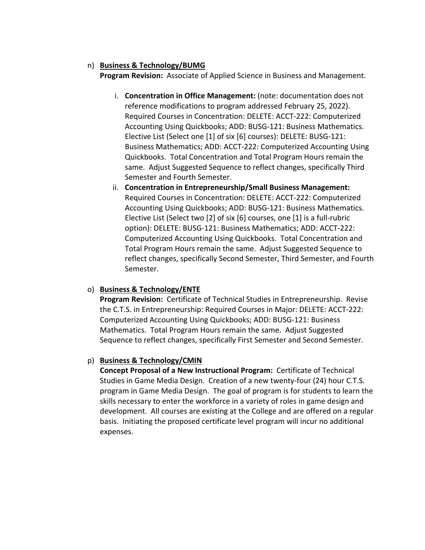# n) **Business & Technology/BUMG**

**Program Revision:** Associate of Applied Science in Business and Management.

- i. **Concentration in Office Management:** (note: documentation does not reference modifications to program addressed February 25, 2022). Required Courses in Concentration: DELETE: ACCT‐222: Computerized Accounting Using Quickbooks; ADD: BUSG‐121: Business Mathematics. Elective List (Select one [1] of six [6] courses): DELETE: BUSG‐121: Business Mathematics; ADD: ACCT‐222: Computerized Accounting Using Quickbooks. Total Concentration and Total Program Hours remain the same. Adjust Suggested Sequence to reflect changes, specifically Third Semester and Fourth Semester.
- ii. **Concentration in Entrepreneurship/Small Business Management:** Required Courses in Concentration: DELETE: ACCT‐222: Computerized Accounting Using Quickbooks; ADD: BUSG‐121: Business Mathematics. Elective List (Select two [2] of six [6] courses, one [1] is a full‐rubric option): DELETE: BUSG‐121: Business Mathematics; ADD: ACCT‐222: Computerized Accounting Using Quickbooks. Total Concentration and Total Program Hours remain the same. Adjust Suggested Sequence to reflect changes, specifically Second Semester, Third Semester, and Fourth Semester.

# o) **Business & Technology/ENTE**

**Program Revision:** Certificate of Technical Studies in Entrepreneurship. Revise the C.T.S. in Entrepreneurship: Required Courses in Major: DELETE: ACCT‐222: Computerized Accounting Using Quickbooks; ADD: BUSG‐121: Business Mathematics. Total Program Hours remain the same. Adjust Suggested Sequence to reflect changes, specifically First Semester and Second Semester.

# p) **Business & Technology/CMIN**

**Concept Proposal of a New Instructional Program:** Certificate of Technical Studies in Game Media Design. Creation of a new twenty‐four (24) hour C.T.S. program in Game Media Design. The goal of program is for students to learn the skills necessary to enter the workforce in a variety of roles in game design and development. All courses are existing at the College and are offered on a regular basis. Initiating the proposed certificate level program will incur no additional expenses.